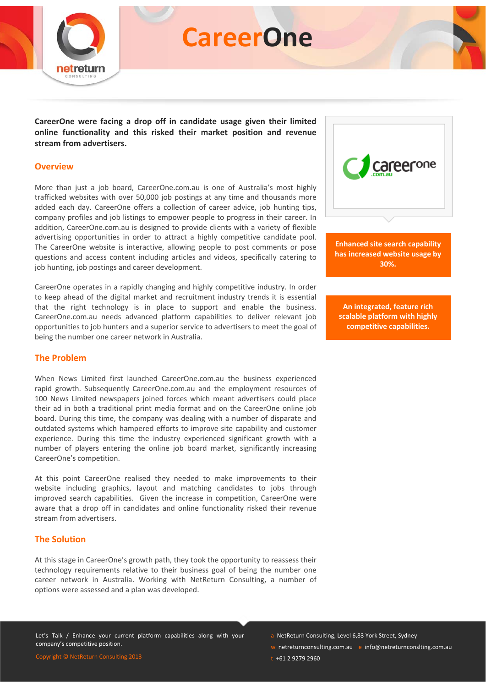

# **CareerOne**

**CareerOne were facing a drop off in candidate usage given their limited online functionality and this risked their market position and revenue stream from advertisers.** 

#### **Overview**

More than just a job board, CareerOne.com.au is one of Australia's most highly trafficked websites with over 50,000 job postings at any time and thousands more added each day. CareerOne offers a collection of career advice, job hunting tips, company profiles and job listings to empower people to progress in their career. In addition, CareerOne.com.au is designed to provide clients with a variety of flexible advertising opportunities in order to attract a highly competitive candidate pool. The CareerOne website is interactive, allowing people to post comments or pose questions and access content including articles and videos, specifically catering to job hunting, job postings and career development.

CareerOne operates in a rapidly changing and highly competitive industry. In order to keep ahead of the digital market and recruitment industry trends it is essential that the right technology is in place to support and enable the business. CareerOne.com.au needs advanced platform capabilities to deliver relevant job opportunities to job hunters and a superior service to advertisers to meet the goal of being the number one career network in Australia.

#### **The Problem**

When News Limited first launched CareerOne.com.au the business experienced rapid growth. Subsequently CareerOne.com.au and the employment resources of 100 News Limited newspapers joined forces which meant advertisers could place their ad in both a traditional print media format and on the CareerOne online job board. During this time, the company was dealing with a number of disparate and outdated systems which hampered efforts to improve site capability and customer experience. During this time the industry experienced significant growth with a number of players entering the online job board market, significantly increasing CareerOne's competition.

At this point CareerOne realised they needed to make improvements to their website including graphics, layout and matching candidates to jobs through improved search capabilities. Given the increase in competition, CareerOne were aware that a drop off in candidates and online functionality risked their revenue stream from advertisers.

#### **The Solution**

At this stage in CareerOne's growth path, they took the opportunity to reassess their technology requirements relative to their business goal of being the number one career network in Australia. Working with NetReturn Consulting, a number of options were assessed and a plan was developed.

Let's Talk / Enhance your current platform capabilities along with your



**Enhanced site search capability has increased website usage by 30%.**

**An integrated, feature rich scalable platform with highly competitive capabilities.**

a NetReturn Consulting, Level 6,83 York Street, Sydney

- w netreturnconsulting.com.au e info@netreturnconslting.com.au
- t +61 2 9279 2960

Copyright © NetReturn Consulting 2013

company's competitive position.